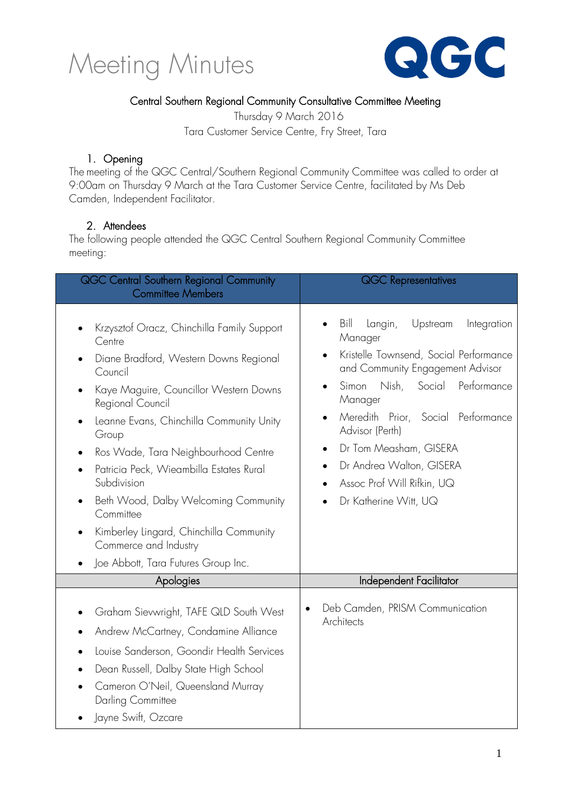



#### Central Southern Regional Community Consultative Committee Meeting

Thursday 9 March 2016 Tara Customer Service Centre, Fry Street, Tara

#### 1. Opening

The meeting of the QGC Central/Southern Regional Community Committee was called to order at 9:00am on Thursday 9 March at the Tara Customer Service Centre, facilitated by Ms Deb Camden, Independent Facilitator.

#### 2. Attendees

The following people attended the QGC Central Southern Regional Community Committee meeting:

| QGC Central Southern Regional Community<br><b>Committee Members</b>                                                                                                                                                                                                                                                                                                                                                                                                                                             | <b>QGC Representatives</b>                                                                                                                                                                                                                                                                                                                                                                             |  |
|-----------------------------------------------------------------------------------------------------------------------------------------------------------------------------------------------------------------------------------------------------------------------------------------------------------------------------------------------------------------------------------------------------------------------------------------------------------------------------------------------------------------|--------------------------------------------------------------------------------------------------------------------------------------------------------------------------------------------------------------------------------------------------------------------------------------------------------------------------------------------------------------------------------------------------------|--|
| Krzysztof Oracz, Chinchilla Family Support<br>Centre<br>Diane Bradford, Western Downs Regional<br>Council<br>Kaye Maguire, Councillor Western Downs<br>Regional Council<br>Leanne Evans, Chinchilla Community Unity<br>Group<br>Ros Wade, Tara Neighbourhood Centre<br>Patricia Peck, Wieambilla Estates Rural<br>Subdivision<br>Beth Wood, Dalby Welcoming Community<br>$\bullet$<br>Committee<br>Kimberley Lingard, Chinchilla Community<br>٠<br>Commerce and Industry<br>Joe Abbott, Tara Futures Group Inc. | Bill<br>Langin,<br>Upstream<br>Integration<br>$\bullet$<br>Manager<br>Kristelle Townsend, Social Performance<br>and Community Engagement Advisor<br>Nish,<br>Social<br>Performance<br>Simon<br>$\bullet$<br>Manager<br>Meredith Prior, Social Performance<br>$\bullet$<br>Advisor (Perth)<br>Dr Tom Measham, GISERA<br>Dr Andrea Walton, GISERA<br>Assoc Prof Will Rifkin, UQ<br>Dr Katherine Witt, UQ |  |
| Apologies                                                                                                                                                                                                                                                                                                                                                                                                                                                                                                       | Independent Facilitator                                                                                                                                                                                                                                                                                                                                                                                |  |
| Graham Sievwright, TAFE QLD South West<br>Andrew McCartney, Condamine Alliance<br>Louise Sanderson, Goondir Health Services<br>Dean Russell, Dalby State High School<br>Cameron O'Neil, Queensland Murray<br>Darling Committee<br>Jayne Swift, Ozcare                                                                                                                                                                                                                                                           | Deb Camden, PRISM Communication<br>Architects                                                                                                                                                                                                                                                                                                                                                          |  |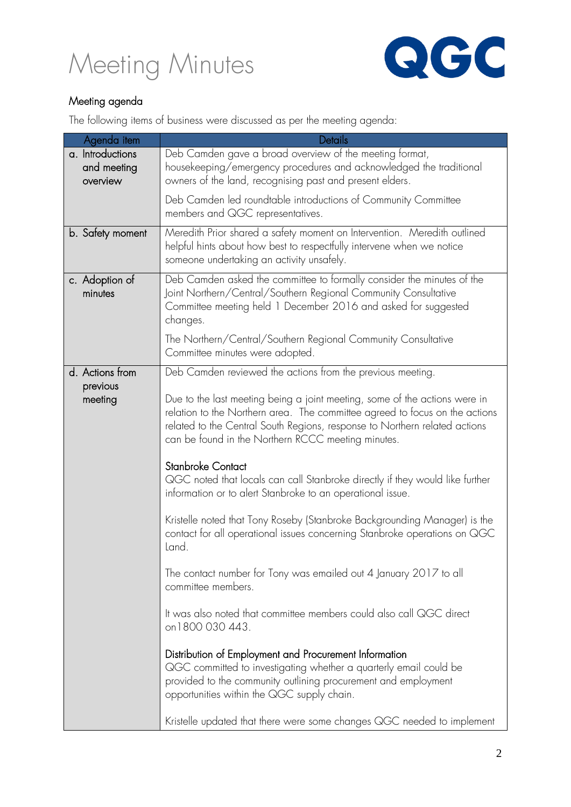



#### Meeting agenda

The following items of business were discussed as per the meeting agenda:

| Agenda item                                 | Details                                                                                                                                                                                                                                                                                               |
|---------------------------------------------|-------------------------------------------------------------------------------------------------------------------------------------------------------------------------------------------------------------------------------------------------------------------------------------------------------|
| a. Introductions<br>and meeting<br>overview | Deb Camden gave a broad overview of the meeting format,<br>housekeeping/emergency procedures and acknowledged the traditional<br>owners of the land, recognising past and present elders.                                                                                                             |
|                                             | Deb Camden led roundtable introductions of Community Committee<br>members and QGC representatives.                                                                                                                                                                                                    |
| b. Safety moment                            | Meredith Prior shared a safety moment on Intervention. Meredith outlined<br>helpful hints about how best to respectfully intervene when we notice<br>someone undertaking an activity unsafely.                                                                                                        |
| c. Adoption of<br>minutes                   | Deb Camden asked the committee to formally consider the minutes of the<br>Joint Northern/Central/Southern Regional Community Consultative<br>Committee meeting held 1 December 2016 and asked for suggested<br>changes.<br>The Northern/Central/Southern Regional Community Consultative              |
|                                             | Committee minutes were adopted.                                                                                                                                                                                                                                                                       |
| d. Actions from<br>previous<br>meeting      | Deb Camden reviewed the actions from the previous meeting.<br>Due to the last meeting being a joint meeting, some of the actions were in<br>relation to the Northern area. The committee agreed to focus on the actions<br>related to the Central South Regions, response to Northern related actions |
|                                             | can be found in the Northern RCCC meeting minutes.                                                                                                                                                                                                                                                    |
|                                             | <b>Stanbroke Contact</b><br>QGC noted that locals can call Stanbroke directly if they would like further<br>information or to alert Stanbroke to an operational issue.                                                                                                                                |
|                                             | Kristelle noted that Tony Roseby (Stanbroke Backgrounding Manager) is the<br>contact for all operational issues concerning Stanbroke operations on QGC<br>Land.                                                                                                                                       |
|                                             | The contact number for Tony was emailed out 4 January 2017 to all<br>committee members.                                                                                                                                                                                                               |
|                                             | It was also noted that committee members could also call QGC direct<br>on 1800 030 443.                                                                                                                                                                                                               |
|                                             | Distribution of Employment and Procurement Information<br>QGC committed to investigating whether a quarterly email could be<br>provided to the community outlining procurement and employment<br>opportunities within the QGC supply chain.                                                           |
|                                             | Kristelle updated that there were some changes QGC needed to implement                                                                                                                                                                                                                                |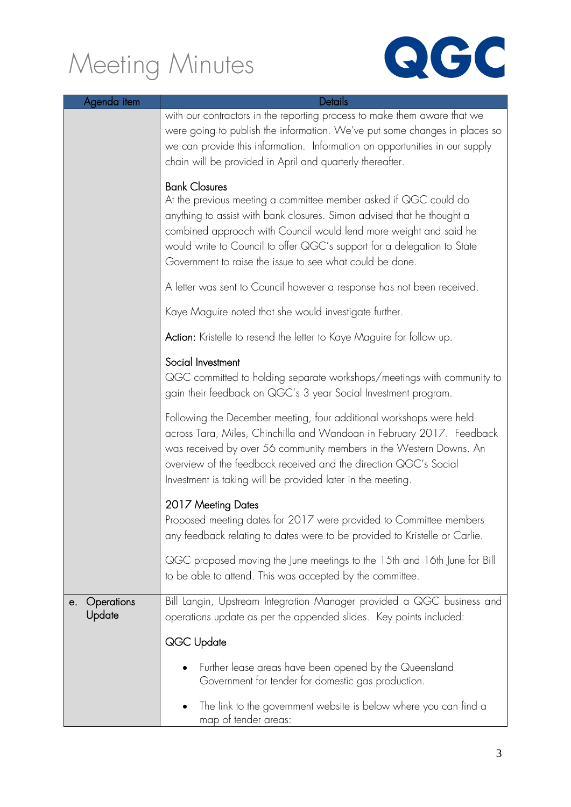

| Agenda item                | Details                                                                                                                                                                                                                                                                                                                                                                        |
|----------------------------|--------------------------------------------------------------------------------------------------------------------------------------------------------------------------------------------------------------------------------------------------------------------------------------------------------------------------------------------------------------------------------|
|                            | with our contractors in the reporting process to make them aware that we<br>were going to publish the information. We've put some changes in places so<br>we can provide this information. Information on opportunities in our supply<br>chain will be provided in April and quarterly thereafter.                                                                             |
|                            | <b>Bank Closures</b><br>At the previous meeting a committee member asked if QGC could do<br>anything to assist with bank closures. Simon advised that he thought a<br>combined approach with Council would lend more weight and said he<br>would write to Council to offer QGC's support for a delegation to State<br>Government to raise the issue to see what could be done. |
|                            | A letter was sent to Council however a response has not been received.                                                                                                                                                                                                                                                                                                         |
|                            | Kaye Maguire noted that she would investigate further.                                                                                                                                                                                                                                                                                                                         |
|                            | Action: Kristelle to resend the letter to Kaye Maguire for follow up.                                                                                                                                                                                                                                                                                                          |
|                            | Social Investment<br>QGC committed to holding separate workshops/meetings with community to<br>gain their feedback on QGC's 3 year Social Investment program.                                                                                                                                                                                                                  |
|                            | Following the December meeting, four additional workshops were held<br>across Tara, Miles, Chinchilla and Wandoan in February 2017. Feedback<br>was received by over 56 community members in the Western Downs. An<br>overview of the feedback received and the direction QGC's Social<br>Investment is taking will be provided later in the meeting.                          |
|                            | 2017 Meeting Dates<br>Proposed meeting dates for 2017 were provided to Committee members<br>any feedback relating to dates were to be provided to Kristelle or Carlie.                                                                                                                                                                                                         |
|                            | QGC proposed moving the June meetings to the 15th and 16th June for Bill<br>to be able to attend. This was accepted by the committee.                                                                                                                                                                                                                                          |
| Operations<br>е.<br>Update | Bill Langin, Upstream Integration Manager provided a QGC business and<br>operations update as per the appended slides. Key points included:                                                                                                                                                                                                                                    |
|                            | QGC Update                                                                                                                                                                                                                                                                                                                                                                     |
|                            | Further lease areas have been opened by the Queensland<br>Government for tender for domestic gas production.                                                                                                                                                                                                                                                                   |
|                            | The link to the government website is below where you can find a<br>map of tender areas:                                                                                                                                                                                                                                                                                       |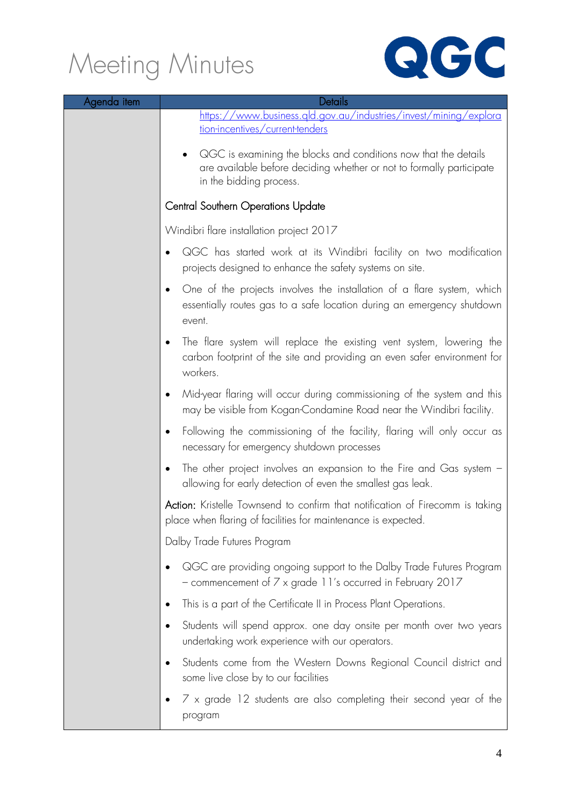

| Agenda item | Details                                                                                                                                                            |
|-------------|--------------------------------------------------------------------------------------------------------------------------------------------------------------------|
|             | https://www.business.gld.gov.au/industries/invest/mining/explora<br><u>tion-incentives/current-tenders</u>                                                         |
|             | QGC is examining the blocks and conditions now that the details<br>are available before deciding whether or not to formally participate<br>in the bidding process. |
|             | <b>Central Southern Operations Update</b>                                                                                                                          |
|             | Windibri flare installation project 2017                                                                                                                           |
|             | QGC has started work at its Windibri facility on two modification<br>projects designed to enhance the safety systems on site.                                      |
|             | One of the projects involves the installation of a flare system, which<br>essentially routes gas to a safe location during an emergency shutdown<br>event.         |
|             | The flare system will replace the existing vent system, lowering the<br>carbon footprint of the site and providing an even safer environment for<br>workers.       |
|             | Mid-year flaring will occur during commissioning of the system and this<br>may be visible from Kogan-Condamine Road near the Windibri facility.                    |
|             | Following the commissioning of the facility, flaring will only occur as<br>necessary for emergency shutdown processes                                              |
|             | The other project involves an expansion to the Fire and Gas system $-$<br>allowing for early detection of even the smallest gas leak.                              |
|             | Action: Kristelle Townsend to confirm that notification of Firecomm is taking<br>place when flaring of facilities for maintenance is expected.                     |
|             | Dalby Trade Futures Program                                                                                                                                        |
|             | QGC are providing ongoing support to the Dalby Trade Futures Program<br>- commencement of 7 x grade 11's occurred in February 2017                                 |
|             | This is a part of the Certificate II in Process Plant Operations.                                                                                                  |
|             | Students will spend approx. one day onsite per month over two years<br>undertaking work experience with our operators.                                             |
|             | Students come from the Western Downs Regional Council district and<br>some live close by to our facilities                                                         |
|             | $7 \times$ grade 12 students are also completing their second year of the<br>program                                                                               |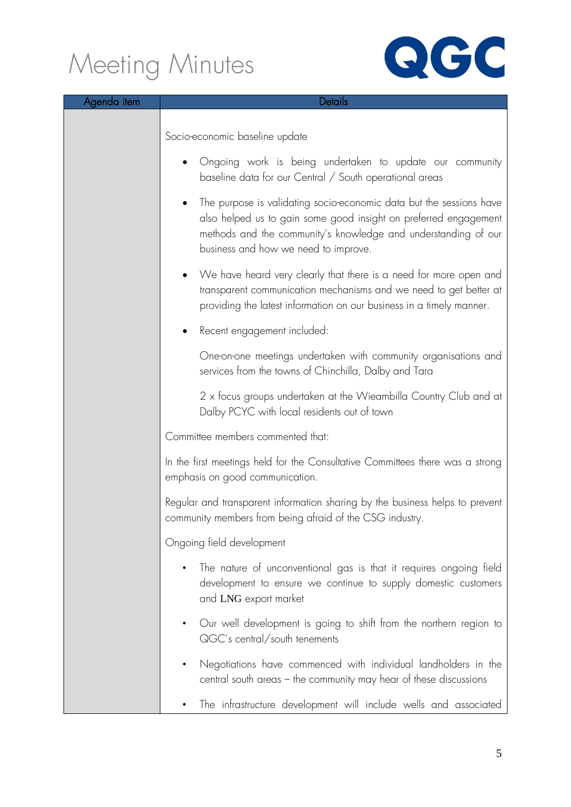

| Agenda item | Details                                                                                                                                                                                                                                           |
|-------------|---------------------------------------------------------------------------------------------------------------------------------------------------------------------------------------------------------------------------------------------------|
|             | Socio-economic baseline update                                                                                                                                                                                                                    |
|             | Ongoing work is being undertaken to update our community<br>baseline data for our Central / South operational areas                                                                                                                               |
|             | The purpose is validating socio-economic data but the sessions have<br>also helped us to gain some good insight on preferred engagement<br>methods and the community's knowledge and understanding of our<br>business and how we need to improve. |
|             | We have heard very clearly that there is a need for more open and<br>$\bullet$<br>transparent communication mechanisms and we need to get better at<br>providing the latest information on our business in a timely manner.                       |
|             | Recent engagement included:                                                                                                                                                                                                                       |
|             | One-on-one meetings undertaken with community organisations and<br>services from the towns of Chinchilla, Dalby and Tara                                                                                                                          |
|             | 2 x focus groups undertaken at the Wieambilla Country Club and at<br>Dalby PCYC with local residents out of town                                                                                                                                  |
|             | Committee members commented that:                                                                                                                                                                                                                 |
|             | In the first meetings held for the Consultative Committees there was a strong<br>emphasis on good communication.                                                                                                                                  |
|             | Regular and transparent information sharing by the business helps to prevent<br>community members from being afraid of the CSG industry.                                                                                                          |
|             | Ongoing field development                                                                                                                                                                                                                         |
|             | The nature of unconventional gas is that it requires ongoing field<br>development to ensure we continue to supply domestic customers<br>and LNG export market                                                                                     |
|             | Our well development is going to shift from the northern region to<br>QGC's central/south tenements                                                                                                                                               |
|             | Negotiations have commenced with individual landholders in the<br>central south areas - the community may hear of these discussions                                                                                                               |
|             | The infrastructure development will include wells and associated                                                                                                                                                                                  |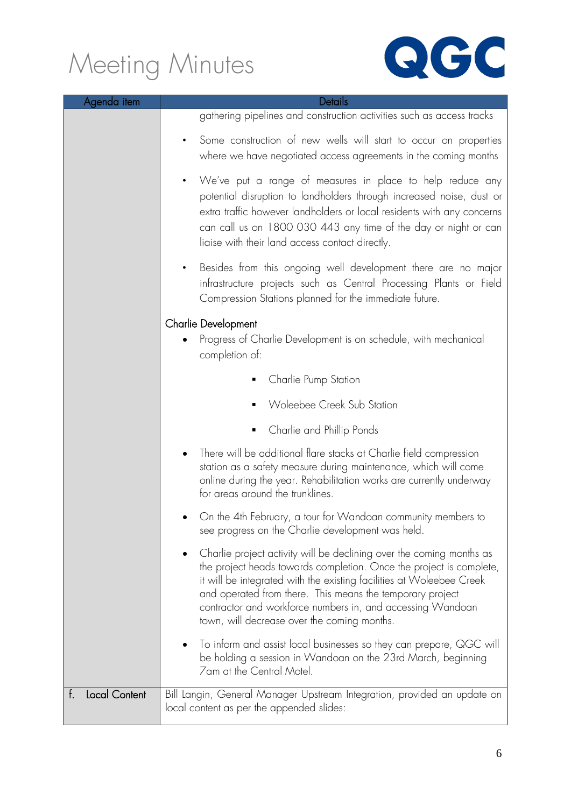

| Agenda item                | Details                                                                                                                                                                                                                                                                                                                                                                                       |
|----------------------------|-----------------------------------------------------------------------------------------------------------------------------------------------------------------------------------------------------------------------------------------------------------------------------------------------------------------------------------------------------------------------------------------------|
|                            | gathering pipelines and construction activities such as access tracks                                                                                                                                                                                                                                                                                                                         |
|                            | Some construction of new wells will start to occur on properties<br>$\bullet$<br>where we have negotiated access agreements in the coming months                                                                                                                                                                                                                                              |
|                            | We've put a range of measures in place to help reduce any<br>$\bullet$<br>potential disruption to landholders through increased noise, dust or<br>extra traffic however landholders or local residents with any concerns<br>can call us on 1800 030 443 any time of the day or night or can<br>liaise with their land access contact directly.                                                |
|                            | Besides from this ongoing well development there are no major<br>infrastructure projects such as Central Processing Plants or Field<br>Compression Stations planned for the immediate future.                                                                                                                                                                                                 |
|                            | <b>Charlie Development</b><br>Progress of Charlie Development is on schedule, with mechanical<br>$\bullet$<br>completion of:                                                                                                                                                                                                                                                                  |
|                            | Charlie Pump Station                                                                                                                                                                                                                                                                                                                                                                          |
|                            | Woleebee Creek Sub Station                                                                                                                                                                                                                                                                                                                                                                    |
|                            | Charlie and Phillip Ponds                                                                                                                                                                                                                                                                                                                                                                     |
|                            | There will be additional flare stacks at Charlie field compression<br>station as a safety measure during maintenance, which will come<br>online during the year. Rehabilitation works are currently underway<br>for areas around the trunklines.                                                                                                                                              |
|                            | On the 4th February, a tour for Wandoan community members to<br>see progress on the Charlie development was held.                                                                                                                                                                                                                                                                             |
|                            | Charlie project activity will be declining over the coming months as<br>the project heads towards completion. Once the project is complete,<br>it will be integrated with the existing facilities at Woleebee Creek<br>and operated from there. This means the temporary project<br>contractor and workforce numbers in, and accessing Wandoan<br>town, will decrease over the coming months. |
|                            | To inform and assist local businesses so they can prepare, QGC will<br>be holding a session in Wandoan on the 23rd March, beginning<br>7am at the Central Motel.                                                                                                                                                                                                                              |
| <b>Local Content</b><br>f. | Bill Langin, General Manager Upstream Integration, provided an update on<br>local content as per the appended slides:                                                                                                                                                                                                                                                                         |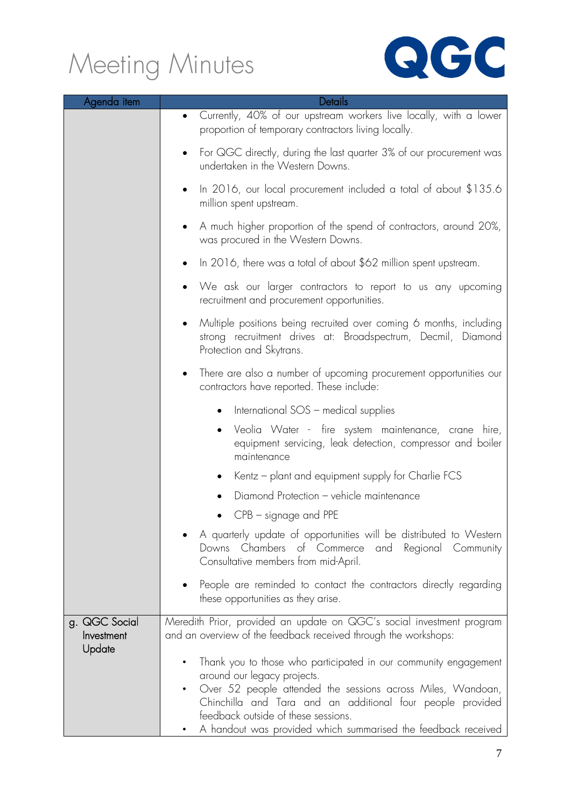

| Agenda item                 | Details                                                                                                                                                                     |
|-----------------------------|-----------------------------------------------------------------------------------------------------------------------------------------------------------------------------|
|                             | Currently, 40% of our upstream workers live locally, with a lower<br>$\bullet$<br>proportion of temporary contractors living locally.                                       |
|                             | For QGC directly, during the last quarter 3% of our procurement was<br>٠<br>undertaken in the Western Downs.                                                                |
|                             | In 2016, our local procurement included a total of about \$135.6<br>٠<br>million spent upstream.                                                                            |
|                             | A much higher proportion of the spend of contractors, around 20%,<br>was procured in the Western Downs.                                                                     |
|                             | In 2016, there was a total of about \$62 million spent upstream.                                                                                                            |
|                             | We ask our larger contractors to report to us any upcoming<br>٠<br>recruitment and procurement opportunities.                                                               |
|                             | Multiple positions being recruited over coming 6 months, including<br>$\bullet$<br>strong recruitment drives at: Broadspectrum, Decmil, Diamond<br>Protection and Skytrans. |
|                             | There are also a number of upcoming procurement opportunities our<br>٠<br>contractors have reported. These include:                                                         |
|                             | International SOS - medical supplies                                                                                                                                        |
|                             | Veolia Water - fire system maintenance, crane hire,<br>equipment servicing, leak detection, compressor and boiler<br>maintenance                                            |
|                             | Kentz – plant and equipment supply for Charlie FCS<br>٠                                                                                                                     |
|                             | Diamond Protection - vehicle maintenance                                                                                                                                    |
|                             | $CPB -$ signage and $PPE$                                                                                                                                                   |
|                             | A quarterly update of opportunities will be distributed to Western<br>Downs Chambers of Commerce and Regional Community<br>Consultative members from mid-April.             |
|                             | People are reminded to contact the contractors directly regarding<br>these opportunities as they arise.                                                                     |
| g. QGC Social<br>Investment | Meredith Prior, provided an update on QGC's social investment program<br>and an overview of the feedback received through the workshops:                                    |
| Update                      | Thank you to those who participated in our community engagement<br>$\bullet$                                                                                                |
|                             | around our legacy projects.<br>Over 52 people attended the sessions across Miles, Wandoan,<br>$\bullet$                                                                     |
|                             | Chinchilla and Tara and an additional four people provided                                                                                                                  |
|                             | feedback outside of these sessions.<br>A handout was provided which summarised the feedback received                                                                        |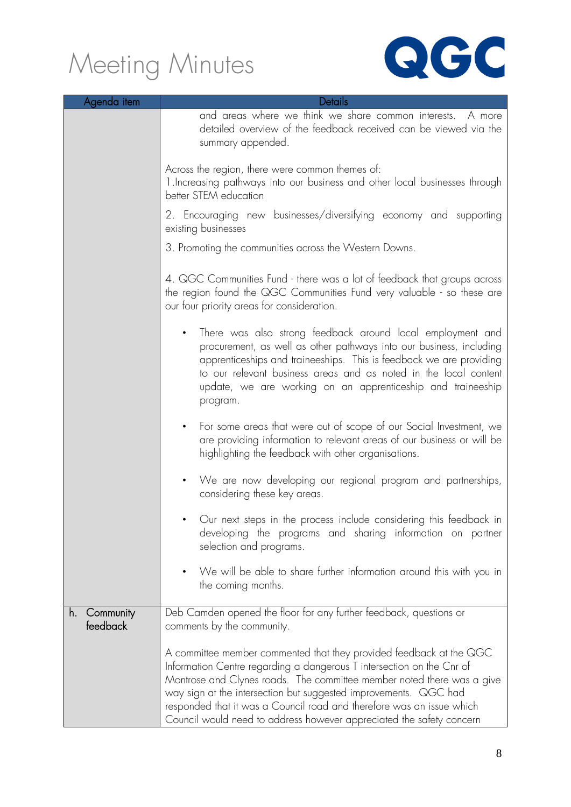

| Agenda item                 | Details                                                                                                                                                                                                                                                                                                                                                                                                                                     |
|-----------------------------|---------------------------------------------------------------------------------------------------------------------------------------------------------------------------------------------------------------------------------------------------------------------------------------------------------------------------------------------------------------------------------------------------------------------------------------------|
|                             | and areas where we think we share common interests. A more<br>detailed overview of the feedback received can be viewed via the<br>summary appended.                                                                                                                                                                                                                                                                                         |
|                             | Across the region, there were common themes of:<br>1. Increasing pathways into our business and other local businesses through<br>better STEM education                                                                                                                                                                                                                                                                                     |
|                             | 2. Encouraging new businesses/diversifying economy and supporting<br>existing businesses                                                                                                                                                                                                                                                                                                                                                    |
|                             | 3. Promoting the communities across the Western Downs.                                                                                                                                                                                                                                                                                                                                                                                      |
|                             | 4. QGC Communities Fund - there was a lot of feedback that groups across<br>the region found the QGC Communities Fund very valuable - so these are<br>our four priority areas for consideration.                                                                                                                                                                                                                                            |
|                             | There was also strong feedback around local employment and<br>$\bullet$<br>procurement, as well as other pathways into our business, including<br>apprenticeships and traineeships. This is feedback we are providing<br>to our relevant business areas and as noted in the local content<br>update, we are working on an apprenticeship and traineeship<br>program.                                                                        |
|                             | For some areas that were out of scope of our Social Investment, we<br>$\bullet$<br>are providing information to relevant areas of our business or will be<br>highlighting the feedback with other organisations.                                                                                                                                                                                                                            |
|                             | We are now developing our regional program and partnerships,<br>$\bullet$<br>considering these key areas.                                                                                                                                                                                                                                                                                                                                   |
|                             | Our next steps in the process include considering this feedback in<br>developing the programs and sharing information on partner<br>selection and programs.                                                                                                                                                                                                                                                                                 |
|                             | We will be able to share further information around this with you in<br>the coming months.                                                                                                                                                                                                                                                                                                                                                  |
| Community<br>h.<br>feedback | Deb Camden opened the floor for any further feedback, questions or<br>comments by the community.                                                                                                                                                                                                                                                                                                                                            |
|                             | A committee member commented that they provided feedback at the QGC<br>Information Centre regarding a dangerous T intersection on the Cnr of<br>Montrose and Clynes roads. The committee member noted there was a give<br>way sign at the intersection but suggested improvements. QGC had<br>responded that it was a Council road and therefore was an issue which<br>Council would need to address however appreciated the safety concern |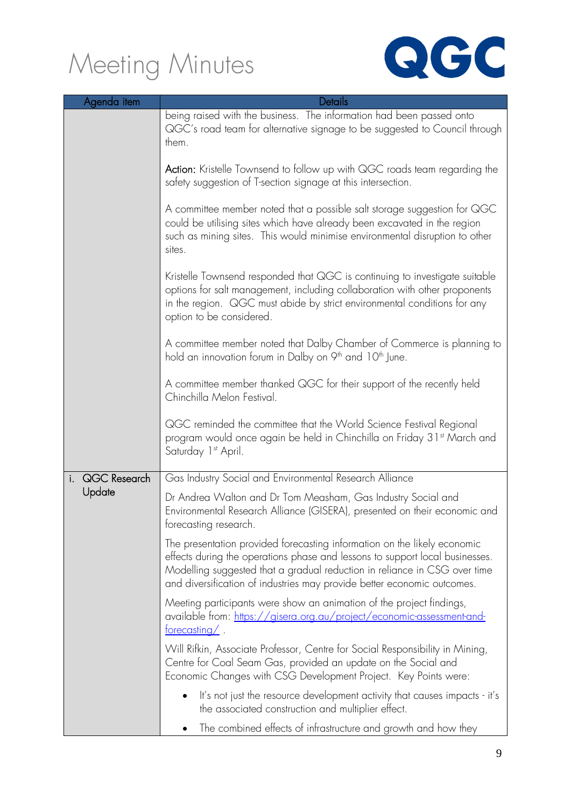

| Agenda item  | Details                                                                                                                                                                                                                                                                                                          |
|--------------|------------------------------------------------------------------------------------------------------------------------------------------------------------------------------------------------------------------------------------------------------------------------------------------------------------------|
|              | being raised with the business. The information had been passed onto<br>QGC's road team for alternative signage to be suggested to Council through<br>them.                                                                                                                                                      |
|              | <b>Action:</b> Kristelle Townsend to follow up with QGC roads team regarding the<br>safety suggestion of T-section signage at this intersection.                                                                                                                                                                 |
|              | A committee member noted that a possible salt storage suggestion for QGC<br>could be utilising sites which have already been excavated in the region<br>such as mining sites. This would minimise environmental disruption to other<br>sites.                                                                    |
|              | Kristelle Townsend responded that QGC is continuing to investigate suitable<br>options for salt management, including collaboration with other proponents<br>in the region. QGC must abide by strict environmental conditions for any<br>option to be considered.                                                |
|              | A committee member noted that Dalby Chamber of Commerce is planning to<br>hold an innovation forum in Dalby on 9 <sup>th</sup> and 10 <sup>th</sup> June.                                                                                                                                                        |
|              | A committee member thanked QGC for their support of the recently held<br>Chinchilla Melon Festival.                                                                                                                                                                                                              |
|              | QGC reminded the committee that the World Science Festival Regional<br>program would once again be held in Chinchilla on Friday 31 <sup>st</sup> March and<br>Saturday 1st April.                                                                                                                                |
| QGC Research | Gas Industry Social and Environmental Research Alliance                                                                                                                                                                                                                                                          |
| Update       | Dr Andrea Walton and Dr Tom Measham, Gas Industry Social and<br>Environmental Research Alliance (GISERA), presented on their economic and<br>forecasting research.                                                                                                                                               |
|              | The presentation provided forecasting information on the likely economic<br>effects during the operations phase and lessons to support local businesses.<br>Modelling suggested that a gradual reduction in reliance in CSG over time<br>and diversification of industries may provide better economic outcomes. |
|              | Meeting participants were show an animation of the project findings,<br>available from: https://gisera.org.au/project/economic-assessment-and-<br>$f$ orecasting $\angle$ .                                                                                                                                      |
|              | Will Rifkin, Associate Professor, Centre for Social Responsibility in Mining,<br>Centre for Coal Seam Gas, provided an update on the Social and<br>Economic Changes with CSG Development Project. Key Points were:                                                                                               |
|              | It's not just the resource development activity that causes impacts - it's<br>the associated construction and multiplier effect.                                                                                                                                                                                 |
|              | The combined effects of infrastructure and growth and how they                                                                                                                                                                                                                                                   |